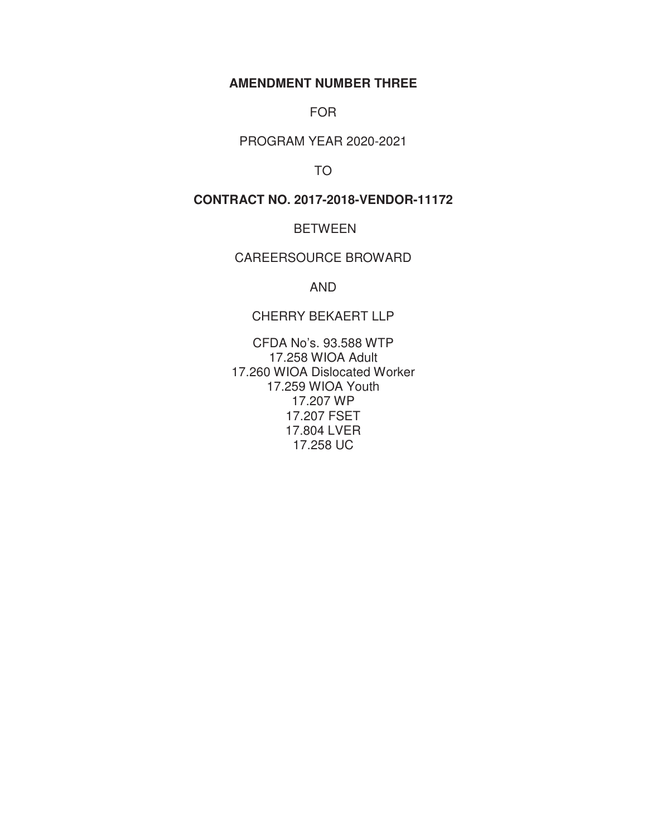## **AMENDMENT NUMBER THREE**

FOR

PROGRAM YEAR 2020-2021

TO

**CONTRACT NO. 2017-2018-VENDOR-11172** 

BETWEEN

CAREERSOURCE BROWARD

AND

CHERRY BEKAERT LLP

CFDA No's. 93.588 WTP 17.258 WIOA Adult 17.260 WIOA Dislocated Worker 17.259 WIOA Youth 17.207 WP 17.207 FSET 17.804 LVER 17.258 UC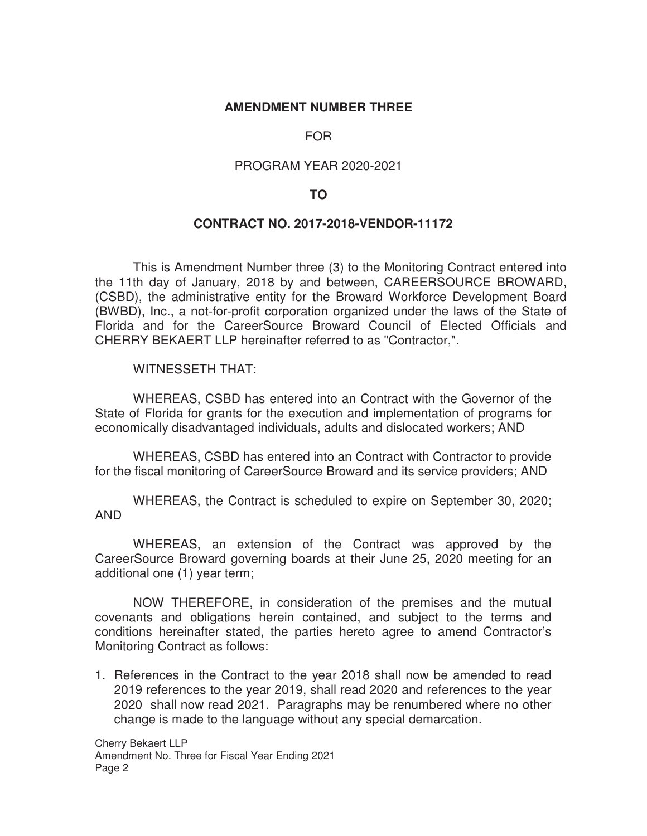## **AMENDMENT NUMBER THREE**

## FOR

## PROGRAM YEAR 2020-2021

## **TO**

## **CONTRACT NO. 2017-2018-VENDOR-11172**

This is Amendment Number three (3) to the Monitoring Contract entered into the 11th day of January, 2018 by and between, CAREERSOURCE BROWARD, (CSBD), the administrative entity for the Broward Workforce Development Board (BWBD), Inc., a not-for-profit corporation organized under the laws of the State of Florida and for the CareerSource Broward Council of Elected Officials and CHERRY BEKAERT LLP hereinafter referred to as "Contractor,".

WITNESSETH THAT:

 WHEREAS, CSBD has entered into an Contract with the Governor of the State of Florida for grants for the execution and implementation of programs for economically disadvantaged individuals, adults and dislocated workers; AND

WHEREAS, CSBD has entered into an Contract with Contractor to provide for the fiscal monitoring of CareerSource Broward and its service providers; AND

WHEREAS, the Contract is scheduled to expire on September 30, 2020; AND

 WHEREAS, an extension of the Contract was approved by the CareerSource Broward governing boards at their June 25, 2020 meeting for an additional one (1) year term;

NOW THEREFORE, in consideration of the premises and the mutual covenants and obligations herein contained, and subject to the terms and conditions hereinafter stated, the parties hereto agree to amend Contractor's Monitoring Contract as follows:

1. References in the Contract to the year 2018 shall now be amended to read 2019 references to the year 2019, shall read 2020 and references to the year 2020 shall now read 2021. Paragraphs may be renumbered where no other change is made to the language without any special demarcation.

Cherry Bekaert LLP Amendment No. Three for Fiscal Year Ending 2021 Page 2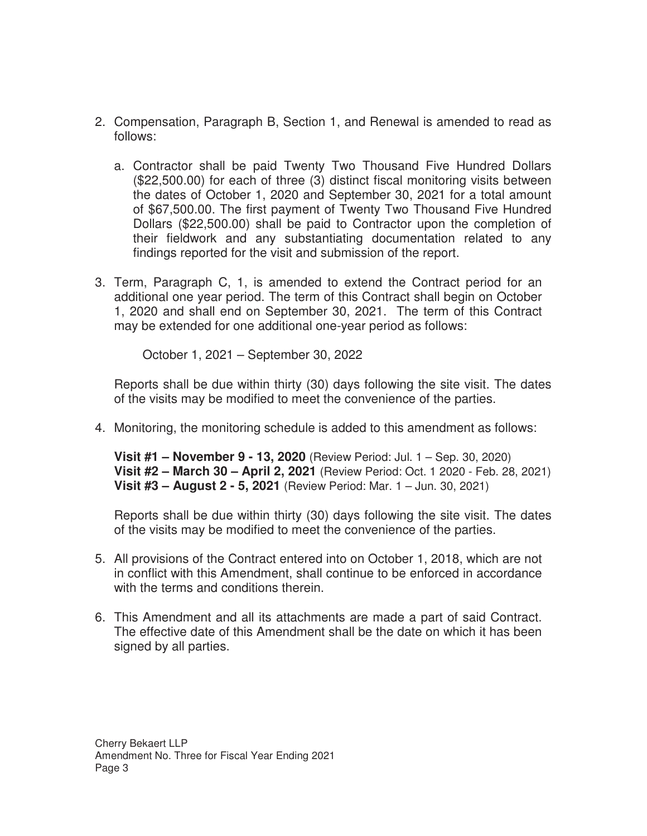- 2. Compensation, Paragraph B, Section 1, and Renewal is amended to read as follows:
	- a. Contractor shall be paid Twenty Two Thousand Five Hundred Dollars (\$22,500.00) for each of three (3) distinct fiscal monitoring visits between the dates of October 1, 2020 and September 30, 2021 for a total amount of \$67,500.00. The first payment of Twenty Two Thousand Five Hundred Dollars (\$22,500.00) shall be paid to Contractor upon the completion of their fieldwork and any substantiating documentation related to any findings reported for the visit and submission of the report.
- 3. Term, Paragraph C, 1, is amended to extend the Contract period for an additional one year period. The term of this Contract shall begin on October 1, 2020 and shall end on September 30, 2021. The term of this Contract may be extended for one additional one-year period as follows:

October 1, 2021 – September 30, 2022

Reports shall be due within thirty (30) days following the site visit. The dates of the visits may be modified to meet the convenience of the parties.

4. Monitoring, the monitoring schedule is added to this amendment as follows:

**Visit #1 – November 9 - 13, 2020** (Review Period: Jul. 1 – Sep. 30, 2020) **Visit #2 – March 30 – April 2, 2021** (Review Period: Oct. 1 2020 - Feb. 28, 2021) **Visit #3 – August 2 - 5, 2021** (Review Period: Mar. 1 – Jun. 30, 2021)

Reports shall be due within thirty (30) days following the site visit. The dates of the visits may be modified to meet the convenience of the parties.

- 5. All provisions of the Contract entered into on October 1, 2018, which are not in conflict with this Amendment, shall continue to be enforced in accordance with the terms and conditions therein.
- 6. This Amendment and all its attachments are made a part of said Contract. The effective date of this Amendment shall be the date on which it has been signed by all parties.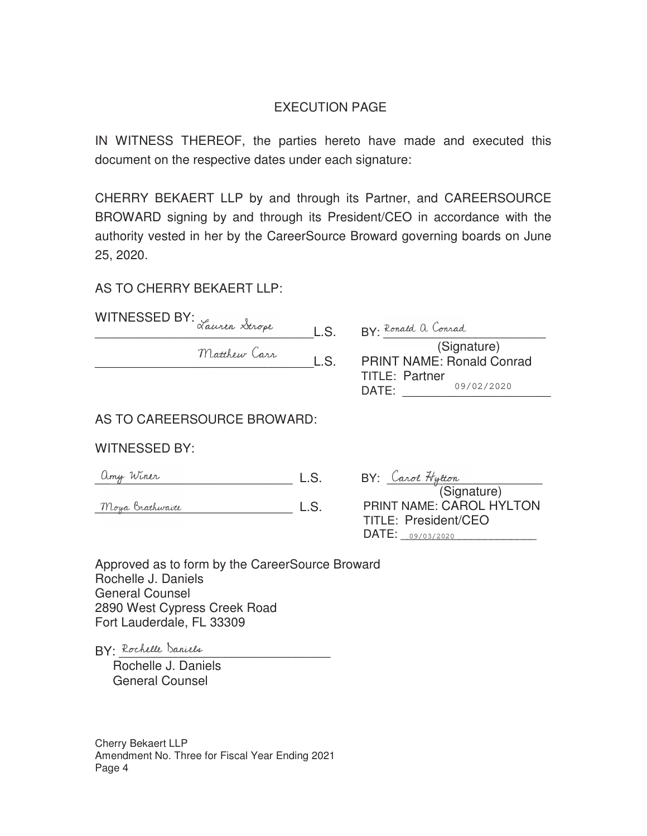## EXECUTION PAGE

IN WITNESS THEREOF, the parties hereto have made and executed this document on the respective dates under each signature:

CHERRY BEKAERT LLP by and through its Partner, and CAREERSOURCE BROWARD signing by and through its President/CEO in accordance with the authority vested in her by the CareerSource Broward governing boards on June 25, 2020.

## AS TO CHERRY BEKAERT LLP:

| WITNESSED BY: Lauren Strope |      |                                  |
|-----------------------------|------|----------------------------------|
|                             | L.S. | RY. Ronald a Conrad              |
| Matthew Carr                |      | (Signature)                      |
|                             | L.S. | <b>PRINT NAME: Ronald Conrad</b> |
|                             |      | <b>TITLE: Partner</b>            |
|                             |      | 09/02/2020<br>DATE:              |

## AS TO CAREERSOURCE BROWARD:

## WITNESSED BY:

| Winer<br>Unij | $\mathbf{H}$ | Tytton<br>arol" |
|---------------|--------------|-----------------|
|               |              |                 |

Moya Brathwaite L.S.

| BY: Carol Hytton                |
|---------------------------------|
| (Signature)                     |
| <b>PRINT NAME: CAROL HYLTON</b> |
| <b>TITLE: President/CEO</b>     |
| DATE: 09/03/2020                |

 $\sim$ 

Approved as to form by the CareerSource Broward Rochelle J. Daniels General Counsel 2890 West Cypress Creek Road Fort Lauderdale, FL 33309

 $BY:$  Rochelle Daniels

 Rochelle J. Daniels General Counsel

Cherry Bekaert LLP Amendment No. Three for Fiscal Year Ending 2021 Page 4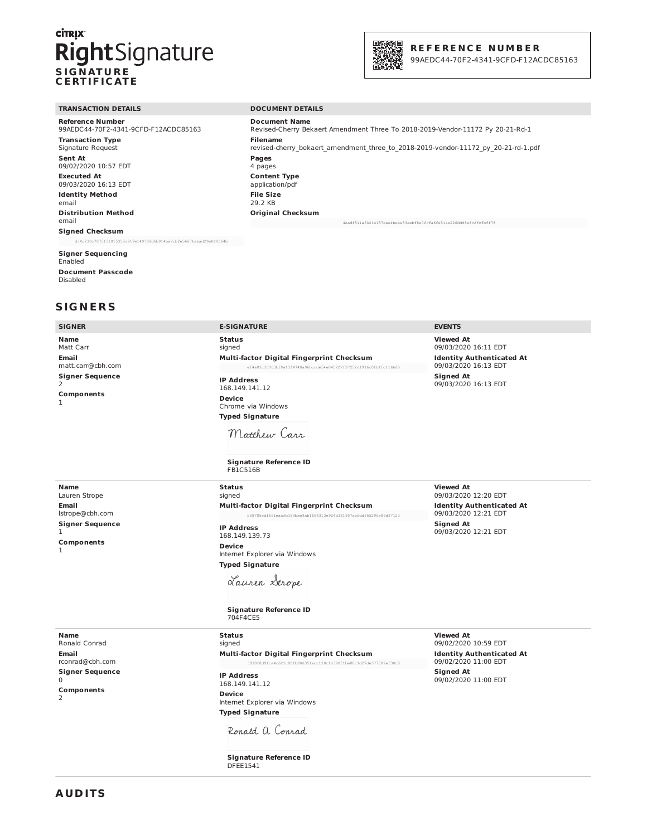## **CİTRIX** RightSignature **SIGNATURE CERTIFICATE**



## **REFERENCE NUMBER**

99AEDC44-70F2-4341-9CFD-F12ACDC85163

#### **TRANSACTION DETAILS**

**Reference Number** 99AEDC44-70F2-4341-9CFD-F12ACDC85163 **Transaction Type** Signature Request Sent At 09/02/2020 10:57 EDT **Executed At** 09/03/2020 16:13 EDT **Identity Method** email **Distribution Method** email **Signed Checksum** d34c230c7075f3f815355d917e140702d6b914ba9cb2e56676abad29e869364b

#### **Signer Sequencing** Enabled

**Document Passcode** Disabled

## **SIGNERS**

#### **SIGNER**

**DOCUMENT DETAILS** 

**E CICNATIDE** 

**Document Name** Revised-Cherry Bekaert Amendment Three To 2018-2019-Vendor-11172 Py 20-21-Rd-1 **Filename** revised-cherry bekaert amendment three to 2018-2019-vendor-11172 py 20-21-rd-1.pdf Pages 4 pages **Content Type** application/pdf **File Size** 29.2 KB **Original Checksum** 4eadf511a5021e187eee4beee83aebf8e06cfa6fe51ae226ddd8efc2fcfbff78

marsimo

| חוטוטוכ                                   | LJIJINAIVRL                                                                                                   | ᆫ៴ᆫ៲៴៲ᢖ                                                  |
|-------------------------------------------|---------------------------------------------------------------------------------------------------------------|----------------------------------------------------------|
| Name<br>Matt Carr                         | <b>Status</b><br>signed                                                                                       | <b>Viewed At</b><br>09/03/2020 16:11 EDT                 |
| Email<br>matt.carr@cbh.com                | Multi-factor Digital Fingerprint Checksum<br>ef4a03c38063bf8e13f4748a96bccde54e045227f37252d1916c0fbffc116b65 | <b>Identity Authenticated At</b><br>09/03/2020 16:13 EDT |
| <b>Signer Sequence</b><br>2<br>Components | <b>IP Address</b><br>168.149.141.12<br><b>Device</b>                                                          | <b>Signed At</b><br>09/03/2020 16:13 EDT                 |
| 1                                         | Chrome via Windows                                                                                            |                                                          |
|                                           | <b>Typed Signature</b>                                                                                        |                                                          |
|                                           | Matthew Carr                                                                                                  |                                                          |
|                                           | <b>Signature Reference ID</b><br>FB1C516B                                                                     |                                                          |
| <b>Name</b><br>Lauren Strope              | <b>Status</b><br>signed                                                                                       | <b>Viewed At</b><br>09/03/2020 12:20 EDT                 |
| <b>Email</b>                              | Multi-factor Digital Fingerprint Checksum                                                                     | <b>Identity Authenticated At</b>                         |
| lstrope@cbh.com                           | b58785edf661eaafb189bae9ab1684313e924d381957acfddf65296e89d37123                                              | 09/03/2020 12:21 EDT                                     |
| <b>Signer Sequence</b><br>1               | <b>IP Address</b><br>168.149.139.73                                                                           | <b>Signed At</b><br>09/03/2020 12:21 EDT                 |
| Components<br>1                           | <b>Device</b><br>Internet Explorer via Windows                                                                |                                                          |
|                                           | <b>Typed Signature</b>                                                                                        |                                                          |
|                                           | Lauren Strope                                                                                                 |                                                          |
|                                           | <b>Signature Reference ID</b><br>704F4CE5                                                                     |                                                          |
| Name                                      | <b>Status</b>                                                                                                 | <b>Viewed At</b>                                         |

Name Ronald Conrad Email rconrad@cbh.com **Signer Sequence**  $\mathbf 0$ Components  $\overline{2}$ 

signed Multi-factor Digital Fingerprint Checksum 3830f8c 9fca4c621c98fb80d351adc120c1b390f1be88c1d27de377589ef30c0

**IP Address** 168 149 141 12 Device Internet Explorer via Windows **Typed Signature** 

Ronald a Conrad

**Signature Reference ID DFEE1541** 

**Viewed At** 09/02/2020 10:59 EDT **Identity Authenticated At** 09/02/2020 11:00 EDT **Signed At** 09/02/2020 11:00 EDT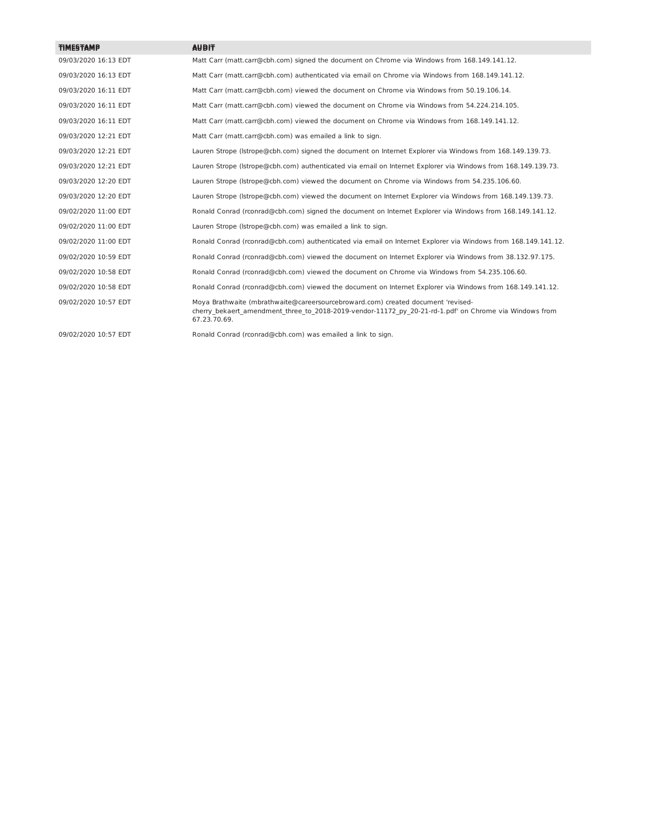| <b>TIMESTAMP</b>     | <b>AUDIT</b>                                                                                                                                                                                               |
|----------------------|------------------------------------------------------------------------------------------------------------------------------------------------------------------------------------------------------------|
| 09/03/2020 16:13 EDT | Matt Carr (matt.carr@cbh.com) signed the document on Chrome via Windows from 168.149.141.12.                                                                                                               |
| 09/03/2020 16:13 EDT | Matt Carr (matt.carr@cbh.com) authenticated via email on Chrome via Windows from 168.149.141.12.                                                                                                           |
| 09/03/2020 16:11 EDT | Matt Carr (matt.carr@cbh.com) viewed the document on Chrome via Windows from 50.19.106.14.                                                                                                                 |
| 09/03/2020 16:11 EDT | Matt Carr (matt.carr@cbh.com) viewed the document on Chrome via Windows from 54.224.214.105.                                                                                                               |
| 09/03/2020 16:11 EDT | Matt Carr (matt.carr@cbh.com) viewed the document on Chrome via Windows from 168.149.141.12.                                                                                                               |
| 09/03/2020 12:21 EDT | Matt Carr (matt.carr@cbh.com) was emailed a link to sign.                                                                                                                                                  |
| 09/03/2020 12:21 EDT | Lauren Strope (Istrope@cbh.com) signed the document on Internet Explorer via Windows from 168.149.139.73.                                                                                                  |
| 09/03/2020 12:21 EDT | Lauren Strope (Istrope@cbh.com) authenticated via email on Internet Explorer via Windows from 168.149.139.73.                                                                                              |
| 09/03/2020 12:20 EDT | Lauren Strope (Istrope@cbh.com) viewed the document on Chrome via Windows from 54.235.106.60.                                                                                                              |
| 09/03/2020 12:20 EDT | Lauren Strope (Istrope@cbh.com) viewed the document on Internet Explorer via Windows from 168.149.139.73.                                                                                                  |
| 09/02/2020 11:00 EDT | Ronald Conrad (rconrad@cbh.com) signed the document on Internet Explorer via Windows from 168.149.141.12.                                                                                                  |
| 09/02/2020 11:00 EDT | Lauren Strope (Istrope@cbh.com) was emailed a link to sign.                                                                                                                                                |
| 09/02/2020 11:00 EDT | Ronald Conrad (rconrad@cbh.com) authenticated via email on Internet Explorer via Windows from 168.149.141.12.                                                                                              |
| 09/02/2020 10:59 EDT | Ronald Conrad (rconrad@cbh.com) viewed the document on Internet Explorer via Windows from 38.132.97.175.                                                                                                   |
| 09/02/2020 10:58 EDT | Ronald Conrad (rconrad@cbh.com) viewed the document on Chrome via Windows from 54.235.106.60.                                                                                                              |
| 09/02/2020 10:58 EDT | Ronald Conrad (rconrad@cbh.com) viewed the document on Internet Explorer via Windows from 168.149.141.12.                                                                                                  |
| 09/02/2020 10:57 EDT | Moya Brathwaite (mbrathwaite@careersourcebroward.com) created document 'revised-<br>cherry bekaert amendment three to 2018-2019-vendor-11172 py 20-21-rd-1.pdf' on Chrome via Windows from<br>67.23.70.69. |
| 09/02/2020 10:57 EDT | Ronald Conrad (rconrad@cbh.com) was emailed a link to sign.                                                                                                                                                |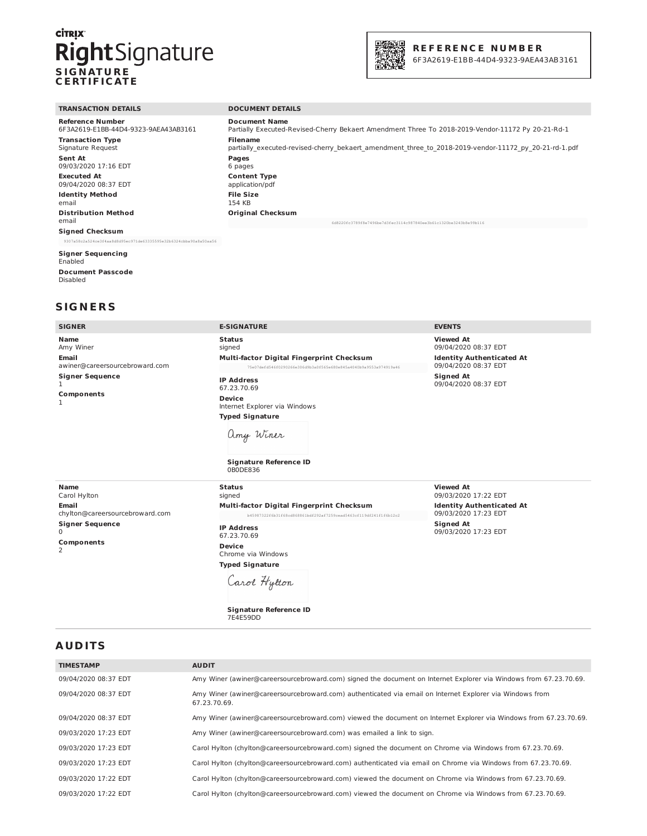# **CİTRIX Right**Signature



6F3A2619-E1BB-44D4-9323-9AEA43AB3161

| <b>TRANSACTION DETAILS</b>           | <b>DOCUMENT DETAILS</b>                                                                               |
|--------------------------------------|-------------------------------------------------------------------------------------------------------|
| Reference Number                     | <b>Document Name</b>                                                                                  |
| 6F3A2619-E1BB-44D4-9323-9AEA43AB3161 | Partially Executed-Revised-Cherry Bekaert Amendment Three To 2018-2019-Vendor-11172 Py 20-21-Rd-1     |
| <b>Transaction Type</b>              | <b>Filename</b>                                                                                       |
| Signature Request                    | partially executed-revised-cherry bekaert amendment three to 2018-2019-vendor-11172 py 20-21-rd-1.pdf |
| <b>Sent At</b>                       | Pages                                                                                                 |
| 09/03/2020 17:16 EDT                 | 6 pages                                                                                               |
| <b>Executed At</b>                   | <b>Content Type</b>                                                                                   |
| 09/04/2020 08:37 EDT                 | application/pdf                                                                                       |
| <b>Identity Method</b>               | <b>File Size</b>                                                                                      |
| email                                | 154 KB                                                                                                |
| <b>Distribution Method</b><br>email  | <b>Original Checksum</b>                                                                              |
|                                      | 6d8220fc3789f8e7496be7d3fec3114c987840ee3b61c1320be3243b8e99b116                                      |
|                                      |                                                                                                       |

**Signed Checksum** 

#### **Signer Sequencing**

Enabled **Document Passcode** Disabled

## **SIGNERS**

| <b>SIGNER</b>                                                                                                    | <b>E-SIGNATURE</b>                                                                                                                                                                                                                                                                                          | <b>EVENTS</b>                                                                                                                                    |
|------------------------------------------------------------------------------------------------------------------|-------------------------------------------------------------------------------------------------------------------------------------------------------------------------------------------------------------------------------------------------------------------------------------------------------------|--------------------------------------------------------------------------------------------------------------------------------------------------|
| <b>Name</b><br>Amy Winer<br>Email<br>awiner@careersourcebroward.com<br><b>Signer Sequence</b><br>1<br>Components | <b>Status</b><br>signed<br>Multi-factor Digital Fingerprint Checksum<br>75e07defd546f0290266e306d9b3a0f565e680e845a4040b9a9553a974919a46<br><b>IP Address</b><br>67.23.70.69<br><b>Device</b><br>Internet Explorer via Windows<br><b>Typed Signature</b><br>amy Winer<br>Signature Reference ID<br>0B0DE836 | <b>Viewed At</b><br>09/04/2020 08:37 EDT<br><b>Identity Authenticated At</b><br>09/04/2020 08:37 EDT<br><b>Signed At</b><br>09/04/2020 08:37 EDT |
| <b>Name</b><br>Carol Hylton                                                                                      | <b>Status</b><br>signed                                                                                                                                                                                                                                                                                     | <b>Viewed At</b><br>09/03/2020 17:22 EDT                                                                                                         |
| <b>Email</b><br>chylton@careersourcebroward.com                                                                  | Multi-factor Digital Fingerprint Checksum<br>b45987322f6b31f68cd868861bdf292af7259cead5463cf119df241f1f6b12c2                                                                                                                                                                                               | <b>Identity Authenticated At</b><br>09/03/2020 17:23 EDT                                                                                         |
| <b>Signer Sequence</b><br>0<br>Components<br>2                                                                   | <b>IP Address</b><br>67.23.70.69<br><b>Device</b><br>Chrome via Windows                                                                                                                                                                                                                                     | <b>Signed At</b><br>09/03/2020 17:23 EDT                                                                                                         |

**Typed Signature** Carol Hytton

Signature Reference ID<br>7E4E59DD

**AUDITS** 

| <b>TIMESTAMP</b>     | <b>AUDIT</b>                                                                                                             |
|----------------------|--------------------------------------------------------------------------------------------------------------------------|
| 09/04/2020 08:37 EDT | Amy Winer (awiner@careersourcebroward.com) signed the document on Internet Explorer via Windows from 67.23.70.69.        |
| 09/04/2020 08:37 EDT | Amy Winer (awiner@careersourcebroward.com) authenticated via email on Internet Explorer via Windows from<br>67.23.70.69. |
| 09/04/2020 08:37 EDT | Amy Winer (awiner@careersourcebroward.com) viewed the document on Internet Explorer via Windows from 67.23.70.69.        |
| 09/03/2020 17:23 EDT | Amy Winer (awiner@careersourcebroward.com) was emailed a link to sign.                                                   |
| 09/03/2020 17:23 EDT | Carol Hylton (chylton@careersourcebroward.com) signed the document on Chrome via Windows from 67.23.70.69.               |
| 09/03/2020 17:23 EDT | Carol Hylton (chylton@careersourcebroward.com) authenticated via email on Chrome via Windows from 67.23.70.69.           |
| 09/03/2020 17:22 EDT | Carol Hylton (chylton@careersourcebroward.com) viewed the document on Chrome via Windows from 67.23.70.69.               |
| 09/03/2020 17:22 EDT | Carol Hylton (chylton@careersourcebroward.com) viewed the document on Chrome via Windows from 67.23.70.69.               |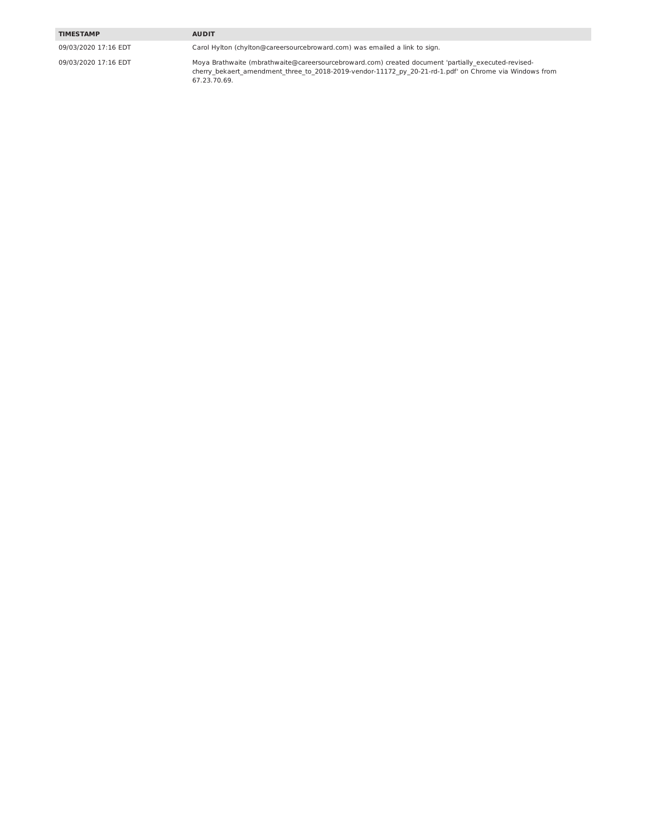#### **TIMESTAMP**

09/03/2020 17:16 EDT

09/03/2020 17:16 EDT

Carol Hylton (chylton@careersourcebroward.com) was emailed a link to sign.

**AUDIT** 

Moya Brathwaite (mbrathwaite@careersourcebroward.com) created document 'partially\_executed-revised-<br>cherry\_bekaert\_amendment\_three\_to\_2018-2019-vendor-11172\_py\_20-21-rd-1.pdf' on Chrome via Windows from<br>67.23.70.69.